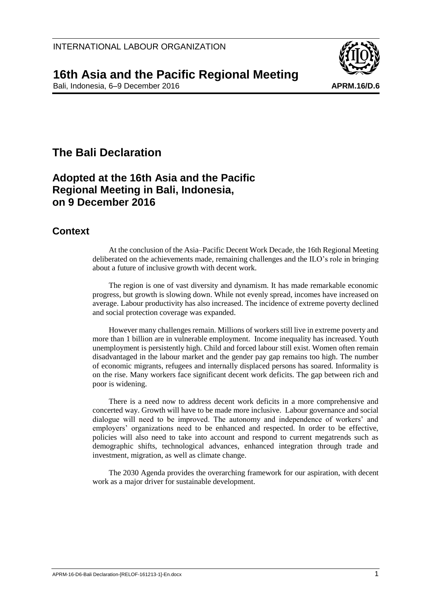

## **16th Asia and the Pacific Regional Meeting**

Bali, Indonesia, 6–9 December 2016 **APRM.16/D.6 APRM.16/D.6** 

# **The Bali Declaration**

## **Adopted at the 16th Asia and the Pacific Regional Meeting in Bali, Indonesia, on 9 December 2016**

### **Context**

At the conclusion of the Asia–Pacific Decent Work Decade, the 16th Regional Meeting deliberated on the achievements made, remaining challenges and the ILO's role in bringing about a future of inclusive growth with decent work.

The region is one of vast diversity and dynamism. It has made remarkable economic progress, but growth is slowing down. While not evenly spread, incomes have increased on average. Labour productivity has also increased. The incidence of extreme poverty declined and social protection coverage was expanded.

However many challenges remain. Millions of workers still live in extreme poverty and more than 1 billion are in vulnerable employment. Income inequality has increased. Youth unemployment is persistently high. Child and forced labour still exist. Women often remain disadvantaged in the labour market and the gender pay gap remains too high. The number of economic migrants, refugees and internally displaced persons has soared. Informality is on the rise. Many workers face significant decent work deficits. The gap between rich and poor is widening.

There is a need now to address decent work deficits in a more comprehensive and concerted way. Growth will have to be made more inclusive. Labour governance and social dialogue will need to be improved. The autonomy and independence of workers' and employers' organizations need to be enhanced and respected. In order to be effective, policies will also need to take into account and respond to current megatrends such as demographic shifts, technological advances, enhanced integration through trade and investment, migration, as well as climate change.

The 2030 Agenda provides the overarching framework for our aspiration, with decent work as a major driver for sustainable development.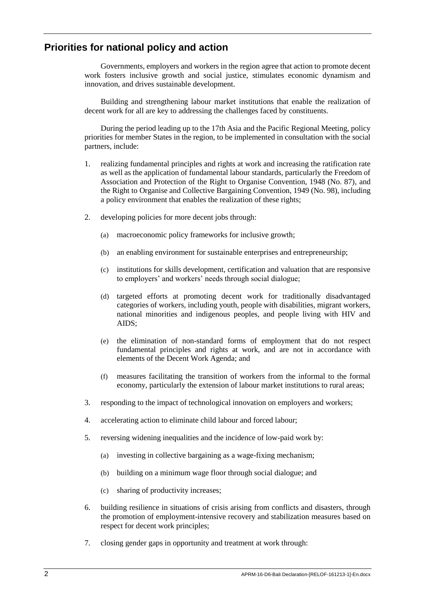### **Priorities for national policy and action**

Governments, employers and workers in the region agree that action to promote decent work fosters inclusive growth and social justice, stimulates economic dynamism and innovation, and drives sustainable development.

Building and strengthening labour market institutions that enable the realization of decent work for all are key to addressing the challenges faced by constituents.

During the period leading up to the 17th Asia and the Pacific Regional Meeting, policy priorities for member States in the region, to be implemented in consultation with the social partners, include:

- 1. realizing fundamental principles and rights at work and increasing the ratification rate as well as the application of fundamental labour standards, particularly the Freedom of Association and Protection of the Right to Organise Convention, 1948 (No. 87), and the Right to Organise and Collective Bargaining Convention, 1949 (No. 98), including a policy environment that enables the realization of these rights;
- 2. developing policies for more decent jobs through:
	- (a) macroeconomic policy frameworks for inclusive growth;
	- (b) an enabling environment for sustainable enterprises and entrepreneurship;
	- (c) institutions for skills development, certification and valuation that are responsive to employers' and workers' needs through social dialogue;
	- (d) targeted efforts at promoting decent work for traditionally disadvantaged categories of workers, including youth, people with disabilities, migrant workers, national minorities and indigenous peoples, and people living with HIV and AIDS;
	- (e) the elimination of non-standard forms of employment that do not respect fundamental principles and rights at work, and are not in accordance with elements of the Decent Work Agenda; and
	- (f) measures facilitating the transition of workers from the informal to the formal economy, particularly the extension of labour market institutions to rural areas;
- 3. responding to the impact of technological innovation on employers and workers;
- 4. accelerating action to eliminate child labour and forced labour;
- 5. reversing widening inequalities and the incidence of low-paid work by:
	- (a) investing in collective bargaining as a wage-fixing mechanism;
	- (b) building on a minimum wage floor through social dialogue; and
	- (c) sharing of productivity increases;
- 6. building resilience in situations of crisis arising from conflicts and disasters, through the promotion of employment-intensive recovery and stabilization measures based on respect for decent work principles;
- 7. closing gender gaps in opportunity and treatment at work through: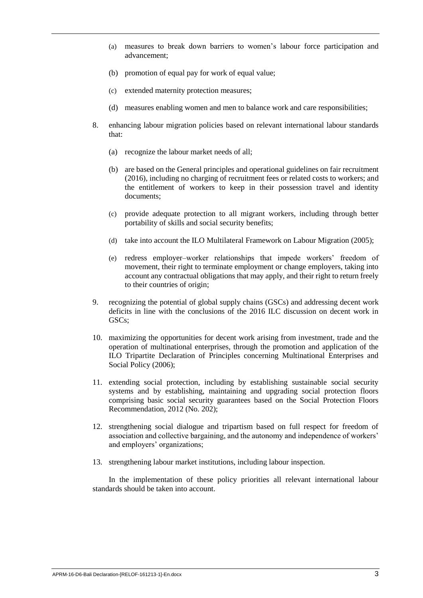- (a) measures to break down barriers to women's labour force participation and advancement;
- (b) promotion of equal pay for work of equal value;
- (c) extended maternity protection measures;
- (d) measures enabling women and men to balance work and care responsibilities;
- 8. enhancing labour migration policies based on relevant international labour standards that:
	- (a) recognize the labour market needs of all;
	- (b) are based on the General principles and operational guidelines on fair recruitment (2016), including no charging of recruitment fees or related costs to workers; and the entitlement of workers to keep in their possession travel and identity documents;
	- (c) provide adequate protection to all migrant workers, including through better portability of skills and social security benefits;
	- (d) take into account the ILO Multilateral Framework on Labour Migration (2005);
	- (e) redress employer–worker relationships that impede workers' freedom of movement, their right to terminate employment or change employers, taking into account any contractual obligations that may apply, and their right to return freely to their countries of origin;
- 9. recognizing the potential of global supply chains (GSCs) and addressing decent work deficits in line with the conclusions of the 2016 ILC discussion on decent work in GSC<sub>s</sub>;
- 10. maximizing the opportunities for decent work arising from investment, trade and the operation of multinational enterprises, through the promotion and application of the ILO Tripartite Declaration of Principles concerning Multinational Enterprises and Social Policy (2006);
- 11. extending social protection, including by establishing sustainable social security systems and by establishing, maintaining and upgrading social protection floors comprising basic social security guarantees based on the Social Protection Floors Recommendation, 2012 (No. 202);
- 12. strengthening social dialogue and tripartism based on full respect for freedom of association and collective bargaining, and the autonomy and independence of workers' and employers' organizations;
- 13. strengthening labour market institutions, including labour inspection.

In the implementation of these policy priorities all relevant international labour standards should be taken into account.